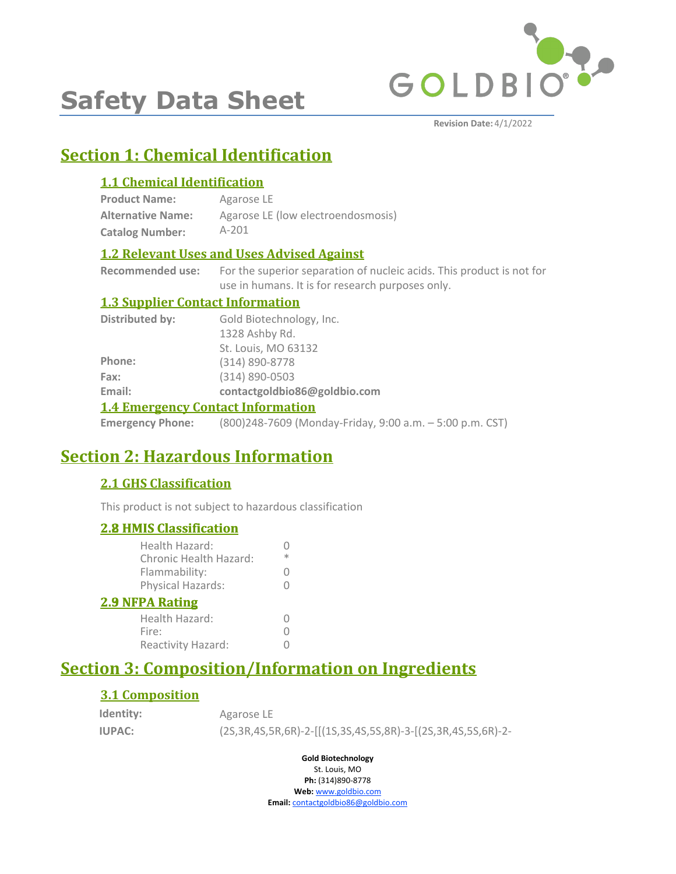

# **Safety Data Sheet**

**Revision Date:** 4/1/2022

# **Section 1: Chemical Identification**

### **1.1 Chemical Identification**

| <b>Product Name:</b>     | Agarose LE                         |
|--------------------------|------------------------------------|
| <b>Alternative Name:</b> | Agarose LE (low electroendosmosis) |
| <b>Catalog Number:</b>   | $A-201$                            |

### **1.2 Relevant Uses and Uses Advised Against**

**Recommended use:** For the superior separation of nucleic acids. This product is not for use in humans. It is for research purposes only.

#### **1.3 Supplier Contact Information**

| <b>1.4 Emergency Contact Information</b> |                              |
|------------------------------------------|------------------------------|
| Email:                                   | contactgoldbio86@goldbio.com |
| Fax:                                     | (314) 890-0503               |
| Phone:                                   | (314) 890-8778               |
|                                          | St. Louis, MO 63132          |
|                                          | 1328 Ashby Rd.               |
| Distributed by:                          | Gold Biotechnology, Inc.     |

**Emergency Phone:** (800)248-7609 (Monday-Friday, 9:00 a.m. – 5:00 p.m. CST)

# **Section 2: Hazardous Information**

### **2.1 GHS Classification**

This product is not subject to hazardous classification

### **2.8 HMIS Classification**

| <u><b>2.8 HMIS Classification</b></u>           |   |
|-------------------------------------------------|---|
| Health Hazard:<br><b>Chronic Health Hazard:</b> | ж |
| Flammability:                                   | 0 |
| Physical Hazards:                               |   |
| <b>2.9 NFPA Rating</b>                          |   |
| Health Hazard:                                  |   |
| Fire:                                           |   |
| Reactivity Hazard:                              |   |
|                                                 |   |

# **Section 3: Composition/Information on Ingredients**

### **3.1 Composition**

| Identity:     | Agarose LE                                                               |
|---------------|--------------------------------------------------------------------------|
| <b>IUPAC:</b> | (2S, 3R, 4S, 5R, 6R)-2-[[(1S, 3S, 4S, 5S, 8R)-3-[(2S, 3R, 4S, 5S, 6R)-2- |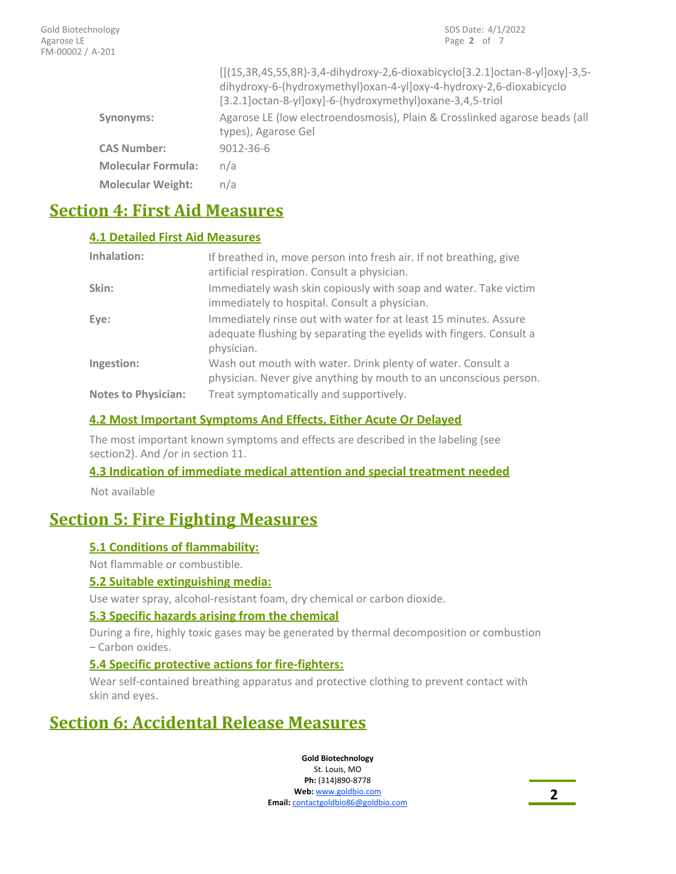|                           | $[(15,3R,45,55,8R)-3,4-dihydroxy-2,6-dioxabicyclo[3.2.1] octan-8-y]0xy]-3,5-$<br>dihydroxy-6-(hydroxymethyl)oxan-4-yl]oxy-4-hydroxy-2,6-dioxabicyclo<br>[3.2.1] octan-8-yl] oxy]-6-(hydroxymethyl) oxane-3,4,5-triol |
|---------------------------|----------------------------------------------------------------------------------------------------------------------------------------------------------------------------------------------------------------------|
| Synonyms:                 | Agarose LE (low electroendosmosis), Plain & Crosslinked agarose beads (all<br>types), Agarose Gel                                                                                                                    |
| <b>CAS Number:</b>        | $9012 - 36 - 6$                                                                                                                                                                                                      |
| <b>Molecular Formula:</b> | n/a                                                                                                                                                                                                                  |
| <b>Molecular Weight:</b>  | n/a                                                                                                                                                                                                                  |

# **Section 4: First Aid Measures**

### **4.1 Detailed First Aid Measures**

| Inhalation:                | If breathed in, move person into fresh air. If not breathing, give<br>artificial respiration. Consult a physician.                                    |
|----------------------------|-------------------------------------------------------------------------------------------------------------------------------------------------------|
| Skin:                      | Immediately wash skin copiously with soap and water. Take victim<br>immediately to hospital. Consult a physician.                                     |
| Eye:                       | Immediately rinse out with water for at least 15 minutes. Assure<br>adequate flushing by separating the eyelids with fingers. Consult a<br>physician. |
| Ingestion:                 | Wash out mouth with water. Drink plenty of water. Consult a<br>physician. Never give anything by mouth to an unconscious person.                      |
| <b>Notes to Physician:</b> | Treat symptomatically and supportively.                                                                                                               |

#### **4.2 Most Important Symptoms And Effects, Either Acute Or Delayed**

The most important known symptoms and effects are described in the labeling (see section2). And /or in section 11.

#### **4.3 Indication of immediate medical attention and special treatment needed**

Not available

### **Section 5: Fire Fighting Measures**

#### **5.1 Conditions of flammability:**

Not flammable or combustible.

#### **5.2 Suitable extinguishing media:**

Use water spray, alcohol-resistant foam, dry chemical or carbon dioxide.

#### **5.3 Specific hazards arising from the chemical**

During a fire, highly toxic gases may be generated by thermal decomposition or combustion – Carbon oxides.

#### **5.4 Specific protective actions for fire-fighters:**

Wear self-contained breathing apparatus and protective clothing to prevent contact with skin and eyes.

# **Section 6: Accidental Release Measures**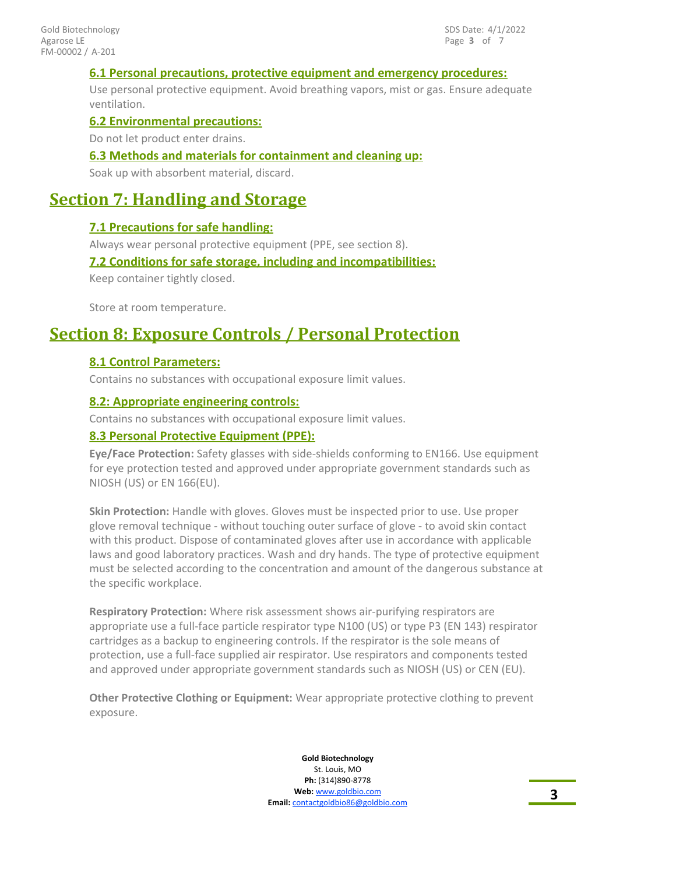#### **6.1 Personal precautions, protective equipment and emergency procedures:**

Use personal protective equipment. Avoid breathing vapors, mist or gas. Ensure adequate ventilation.

#### **6.2 Environmental precautions:**

Do not let product enter drains.

#### **6.3 Methods and materials for containment and cleaning up:**

Soak up with absorbent material, discard.

### **Section 7: Handling and Storage**

#### **7.1 Precautions for safe handling:**

Always wear personal protective equipment (PPE, see section 8).

#### **7.2 Conditions for safe storage, including and incompatibilities:**

Keep container tightly closed.

Store at room temperature.

### **Section 8: Exposure Controls / Personal Protection**

#### **8.1 Control Parameters:**

Contains no substances with occupational exposure limit values.

#### **8.2: Appropriate engineering controls:**

Contains no substances with occupational exposure limit values.

#### **8.3 Personal Protective Equipment (PPE):**

**Eye/Face Protection:** Safety glasses with side-shields conforming to EN166. Use equipment for eye protection tested and approved under appropriate government standards such as NIOSH (US) or EN 166(EU).

**Skin Protection:** Handle with gloves. Gloves must be inspected prior to use. Use proper glove removal technique - without touching outer surface of glove - to avoid skin contact with this product. Dispose of contaminated gloves after use in accordance with applicable laws and good laboratory practices. Wash and dry hands. The type of protective equipment must be selected according to the concentration and amount of the dangerous substance at the specific workplace.

**Respiratory Protection:** Where risk assessment shows air-purifying respirators are appropriate use a full-face particle respirator type N100 (US) or type P3 (EN 143) respirator cartridges as a backup to engineering controls. If the respirator is the sole means of protection, use a full-face supplied air respirator. Use respirators and components tested and approved under appropriate government standards such as NIOSH (US) or CEN (EU).

**Other Protective Clothing or Equipment:** Wear appropriate protective clothing to prevent exposure.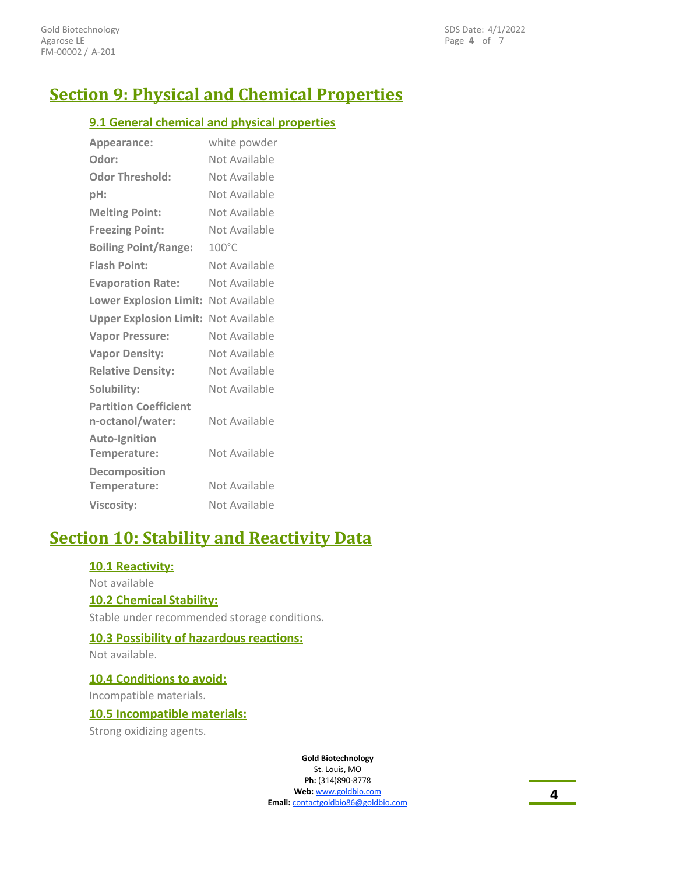# **Section 9: Physical and Chemical Properties**

#### **9.1 General chemical and physical properties**

| Appearance:                                      | white powder    |
|--------------------------------------------------|-----------------|
| Odor:                                            | Not Available   |
| <b>Odor Threshold:</b>                           | Not Available   |
| pH:                                              | Not Available   |
| <b>Melting Point:</b>                            | Not Available   |
| <b>Freezing Point:</b>                           | Not Available   |
| <b>Boiling Point/Range:</b>                      | $100^{\circ}$ C |
| <b>Flash Point:</b>                              | Not Available   |
| <b>Evaporation Rate:</b>                         | Not Available   |
| Lower Explosion Limit: Not Available             |                 |
| <b>Upper Explosion Limit: Not Available</b>      |                 |
| <b>Vapor Pressure:</b>                           | Not Available   |
| <b>Vapor Density:</b>                            | Not Available   |
| <b>Relative Density:</b>                         | Not Available   |
| Solubility:                                      | Not Available   |
| <b>Partition Coefficient</b><br>n-octanol/water: | Not Available   |
| <b>Auto-Ignition</b><br>Temperature:             | Not Available   |
| Decomposition<br>Temperature:                    | Not Available   |
| <b>Viscosity:</b>                                | Not Available   |

# **Section 10: Stability and Reactivity Data**

#### **10.1 Reactivity:**

Not available

#### **10.2 Chemical Stability:**

Stable under recommended storage conditions.

#### **10.3 Possibility of hazardous reactions:**

Not available.

**10.4 Conditions to avoid:**

Incompatible materials.

#### **10.5 Incompatible materials:**

Strong oxidizing agents.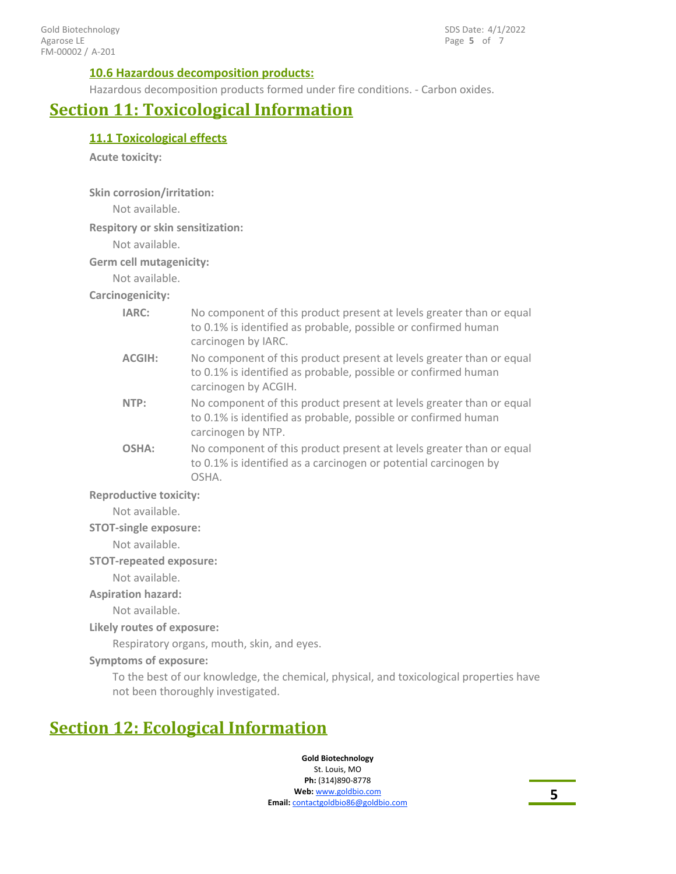#### **10.6 Hazardous decomposition products:**

Hazardous decomposition products formed under fire conditions. - Carbon oxides.

### **Section 11: Toxicological Information**

### **11.1 Toxicological effects**

**Acute toxicity:**

**Skin corrosion/irritation:**

Not available.

**Respitory or skin sensitization:**

Not available.

**Germ cell mutagenicity:**

Not available.

**Carcinogenicity:**

| IARC:         | No component of this product present at levels greater than or equal<br>to 0.1% is identified as probable, possible or confirmed human<br>carcinogen by IARC.  |
|---------------|----------------------------------------------------------------------------------------------------------------------------------------------------------------|
| <b>ACGIH:</b> | No component of this product present at levels greater than or equal<br>to 0.1% is identified as probable, possible or confirmed human<br>carcinogen by ACGIH. |
| NTP:          | No component of this product present at levels greater than or equal<br>to 0.1% is identified as probable, possible or confirmed human<br>carcinogen by NTP.   |
| OSHA:         | No component of this product present at levels greater than or equal<br>to 0.1% is identified as a carcinogen or potential carcinogen by<br>OSHA.              |
|               |                                                                                                                                                                |

**Reproductive toxicity:**

Not available.

#### **STOT-single exposure:**

Not available.

#### **STOT-repeated exposure:**

Not available.

#### **Aspiration hazard:**

Not available.

#### **Likely routes of exposure:**

Respiratory organs, mouth, skin, and eyes.

#### **Symptoms of exposure:**

To the best of our knowledge, the chemical, physical, and toxicological properties have not been thoroughly investigated.

# **Section 12: Ecological Information**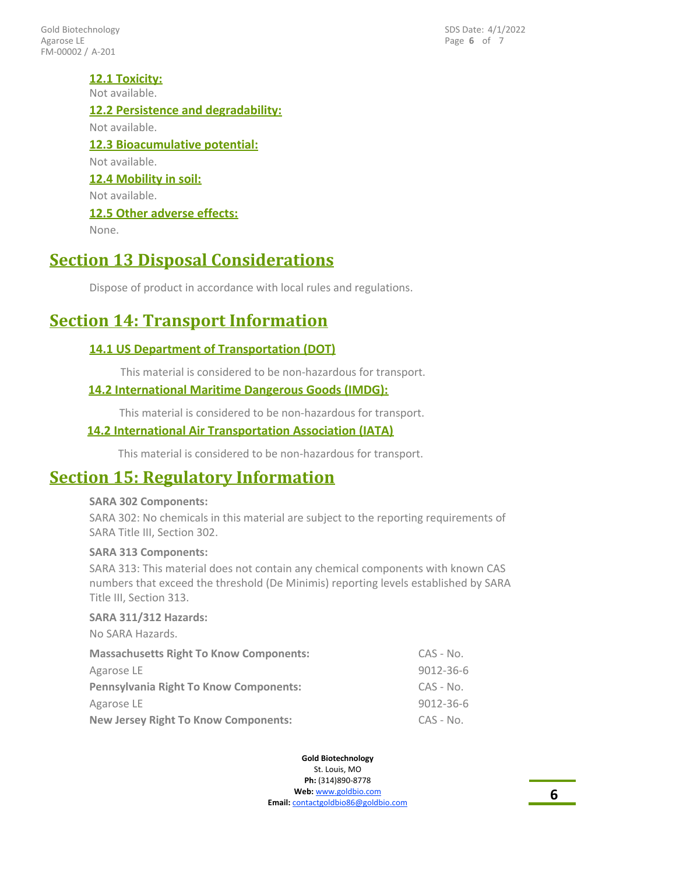FM-00002 / A-201 Gold Biotechnology Agarose LE

Page **6** of 7 SDS Date: 4/1/2022

#### **12.1 Toxicity:**

Not available.

### **12.2 Persistence and degradability:**

Not available.

# **12.3 Bioacumulative potential:**

Not available.

### **12.4 Mobility in soil:**

Not available.

#### **12.5 Other adverse effects:**

None.

## **Section 13 Disposal Considerations**

Dispose of product in accordance with local rules and regulations.

# **Section 14: Transport Information**

#### **14.1 US Department of Transportation (DOT)**

This material is considered to be non-hazardous for transport.

### **14.2 International Maritime Dangerous Goods (IMDG):**

This material is considered to be non-hazardous for transport.

#### **14.2 International Air Transportation Association (IATA)**

This material is considered to be non-hazardous for transport.

### **Section 15: Regulatory Information**

#### **SARA 302 Components:**

SARA 302: No chemicals in this material are subject to the reporting requirements of SARA Title III, Section 302.

#### **SARA 313 Components:**

SARA 313: This material does not contain any chemical components with known CAS numbers that exceed the threshold (De Minimis) reporting levels established by SARA Title III, Section 313.

#### **SARA 311/312 Hazards:**

No SARA Hazards.

| <b>Massachusetts Right To Know Components:</b> | $CAS - No.$ |
|------------------------------------------------|-------------|
| Agarose LE                                     | 9012-36-6   |
| <b>Pennsylvania Right To Know Components:</b>  | $CAS - No.$ |
| Agarose LE                                     | 9012-36-6   |
| <b>New Jersey Right To Know Components:</b>    | $CAS - No.$ |